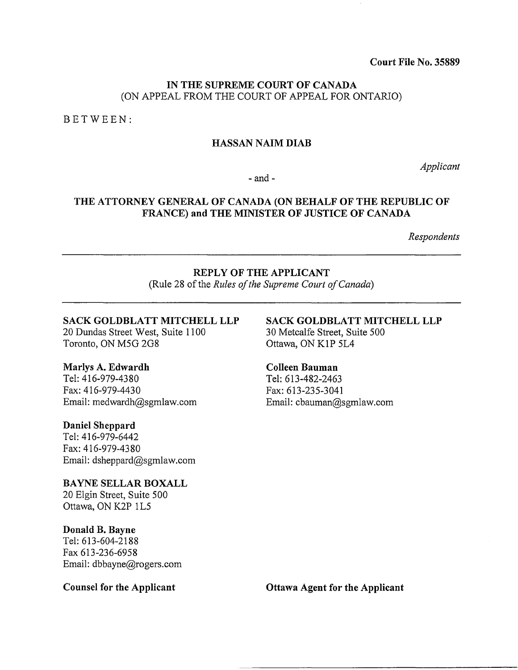Court File No. 35889

#### IN THE SUPREME COURT OF CANADA (ON APPEAL FROM THE COURT OF APPEAL FOR ONTARIO)

BETWEEN:

#### HASSAN NAIM DIAB

*Applicant* 

-and-

## THE ATTORNEY GENERAL OF CANADA (ON BEHALF OF THE REPUBLIC OF FRANCE) and THE MINISTER OF JUSTICE OF CANADA

*Respondents* 

#### REPLY OF THE APPLICANT (Rule 28 of the *Rules of the Supreme Court of Canada)*

#### SACK GOLDBLATT MITCHELL LLP

20 Dundas Street West, Suite 1100 Toronto, ON M5G 2G8

#### Marlys A. Edwardh

Tel: 416-979-4380 Fax: 416-979-4430 Email: medwardh@sgmlaw.com

#### Daniel Sheppard

Tel: 416-979-6442 Fax: 416-979-4380 Email: dsheppard@sgmlaw.com

BAYNE SELLAR BOXALL 20 Elgin Street, Suite 500 Ottawa, ON K2P 1L5

#### Donald B. Bayne

Tel: 613-604-2188 Fax 613-236-6958 Email: dbbayne@rogers.com

#### Counsel for the Applicant

SACK GOLDBLATT MITCHELL LLP 30 Metcalfe Street, Suite 500 Ottawa, ON KIP 5L4

#### Colleen Bauman

Tel: 613-482-2463 Fax: 613-235-3041 Email: cbauman@sgmlaw.com

Ottawa Agent for the Applicant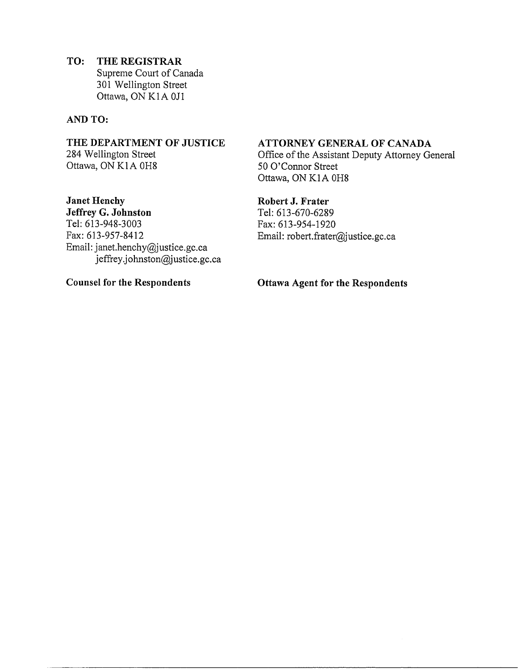**TO: THE REGISTRAR**  Supreme Court of Canada 30I Wellington Street Ottawa, ON KIA OJI

#### **AND TO:**

**THE DEPARTMENT OF JUSTICE**  284 Wellington Street Ottawa, ON KIA OH8

**Janet Henchy Jeffrey G. Johnston**  Tel: 613-948-3003 Fax: 613-957-8412 Email: janet.henchy@justice.gc.ca jeffrey.johnston@justice.gc.ca

**Counsel for the Respondents** 

#### **ATTORNEY GENERAL OF CANADA**

Office of the Assistant Deputy Attorney General 50 O'Connor Street Ottawa, ON KIA OH8

#### **Robert J. Frater**

Tel: 613-670-6289 Fax:6I3-954-1920 Email: robert.frater@justice.gc.ca

**Ottawa Agent for the Respondents**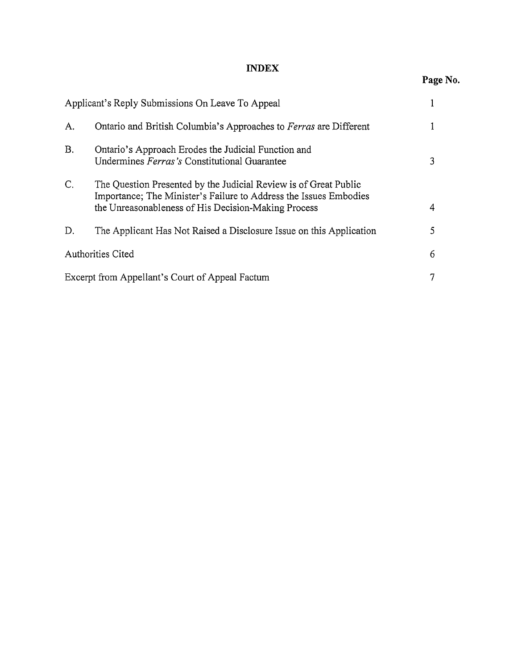## **INDEX**

# **Page** No.

|    | Applicant's Reply Submissions On Leave To Appeal                                                                                                                                             |   |
|----|----------------------------------------------------------------------------------------------------------------------------------------------------------------------------------------------|---|
| A. | Ontario and British Columbia's Approaches to Ferras are Different                                                                                                                            |   |
| Β. | Ontario's Approach Erodes the Judicial Function and<br>Undermines Ferras's Constitutional Guarantee                                                                                          | 3 |
| C. | The Question Presented by the Judicial Review is of Great Public<br>Importance; The Minister's Failure to Address the Issues Embodies<br>the Unreasonableness of His Decision-Making Process | 4 |
| D. | The Applicant Has Not Raised a Disclosure Issue on this Application                                                                                                                          | 5 |
|    | <b>Authorities Cited</b>                                                                                                                                                                     |   |
|    | Excerpt from Appellant's Court of Appeal Factum                                                                                                                                              |   |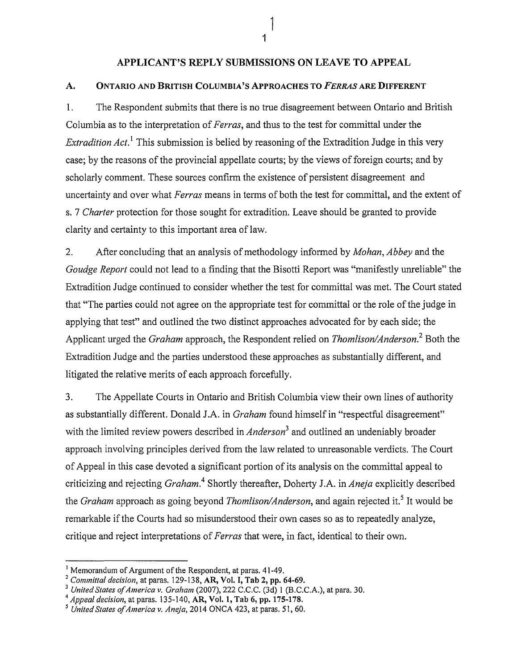### APPLICANT'S REPLY SUBMISSIONS ON LEAVE TO APPEAL

#### A. ONTARIO AND BRITISH COLUMBIA'S APPROACHES TO *FERRAS* ARE DIFFERENT

1. The Respondent submits that there is no true disagreement between Ontario and British Columbia as to the interpretation of *Ferras,* and thus to the test for committal under the *Extradition Act.* This submission is belied by reasoning of the Extradition Judge in this very case; by the reasons of the provincial appellate courts; by the views of foreign courts; and by scholarly comment. These sources confirm the existence of persistent disagreement and uncertainty and over what *Ferras* means in terms of both the test for committal, and the extent of s. 7 *Charter* protection for those sought for extradition. Leave should be granted to provide clarity and certainty to this important area of law.

2. After concluding that an analysis of methodology informed by *Mohan, Abbey* and the *Goudge Report* could not lead to a finding that the Bisotti Report was "manifestly unreliable" the Extradition Judge continued to consider whether the test for committal was met. The Court stated that "The parties could not agree on the appropriate test for committal or the role of the judge in applying that test" and outlined the two distinct approaches advocated for by each side; the Applicant urged the *Graham* approach, the Respondent relied on *Thomlison/Anderson*.<sup>2</sup> Both the Extradition Judge and the parties understood these approaches as substantially different, and litigated the relative merits of each approach forcefully.

3. The Appellate Courts in Ontario and British Columbia view their own lines of authority as substantially different. Donald J.A. in *Graham* found himself in "respectful disagreement" with the limited review powers described in *Anderson<sup>3</sup>*and outlined an undeniably broader approach involving principles derived from the law related to unreasonable verdicts. The Court of Appeal in this case devoted a significant portion of its analysis on the committal appeal to criticizing and rejecting *Graham*.<sup>4</sup> Shortly thereafter, Doherty J.A. in *Aneja* explicitly described the *Graham* approach as going beyond *Thomlison/Anderson*, and again rejected it.<sup>5</sup> It would be remarkable if the Courts had so misunderstood their own cases so as to repeatedly analyze, critique and reject interpretations of *Ferras* that were, in fact, identical to their own.

1

<sup>&</sup>lt;sup>1</sup> Memorandum of Argument of the Respondent, at paras. 41-49.<br>
<sup>2</sup> Committal decision, at paras. 129-138, AR, Vol. I, Tab 2, pp. 64-69.<br>
<sup>3</sup> United States of America v. Graham (2007), 222 C.C.C. (3d) 1 (B.C.C.A.), at par

*<sup>5</sup> United States of America v. Aneja,* 2014 ONCA 423, at paras. 51, 60.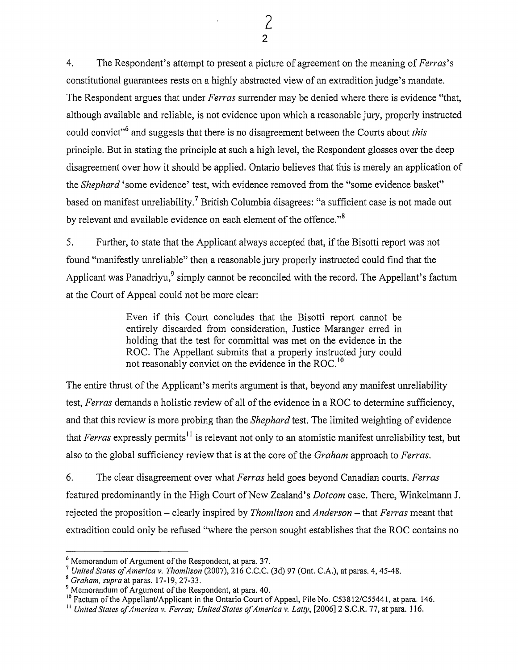4. The Respondent's attempt to present a picture of agreement on the meaning of *Perras's*  constitutional guarantees rests on a highly abstracted view of an extradition judge's mandate. The Respondent argues that under *Perras* surrender may be denied where there is evidence "that, although available and reliable, is not evidence upon which a reasonable jury, properly instructed could convict"6 and suggests that there is no disagreement between the Courts about *this*  principle. But in stating the principle at such a high level, the Respondent glosses over the deep disagreement over how it should be applied. Ontario believes that this is merely an application of the *Shephard* 'some evidence' test, with evidence removed from the "some evidence basket" based on manifest unreliability.<sup>7</sup> British Columbia disagrees: "a sufficient case is not made out by relevant and available evidence on each element of the offence."<sup>8</sup>

5. Further, to state that the Applicant always accepted that, if the Bisotti report was not found "manifestly unreliable" then a reasonable jury properly instructed could find that the Applicant was Panadriyu,<sup>9</sup> simply cannot be reconciled with the record. The Appellant's factum at the Court of Appeal could not be more clear:

> Even if this Court concludes that the Bisotti report cannot be entirely discarded from consideration, Justice Maranger erred in holding that the test for committal was met on the evidence in the ROC. The Appellant submits that a properly instructed jury could not reasonably convict on the evidence in the ROC. <sup>10</sup>

The entire thrust of the Applicant's merits argument is that, beyond any manifest unreliability test, *Ferras* demands a holistic review of all of the evidence in a ROC to determine sufficiency, and that this review is more probing than the *Shephard* test. The limited weighting of evidence that *Ferras* expressly permits<sup>11</sup> is relevant not only to an atomistic manifest unreliability test, but also to the global sufficiency review that is at the core of the *Graham* approach to *Perras.* 

6. The clear disagreement over what *Perras* held goes beyond Canadian courts. *Perras*  featured predominantly in the High Court of New Zealand's *Dotcom* case. There, Winkelmann J. rejected the proposition- clearly inspired by *Thomlison* and *Anderson-* that *Perras* meant that extradition could only be refused "where the person sought establishes that the ROC contains no

<sup>&</sup>lt;sup>6</sup> Memorandum of Argument of the Respondent, at para. 37.<br>
<sup>7</sup> United States of America v. Thomlison (2007), 216 C.C.C. (3d) 97 (Ont. C.A.), at paras. 4, 45-48.<br>
<sup>8</sup> Graham, supra at paras. 17-19, 27-33.<br>
<sup>9</sup> Memorandum

or Factum of the Appellant/Applicant in the Ontario Court of Appeal, File No. C53812/C55441, at para. 146.<br><sup>11</sup> United States of America v. Ferras; United States of America v. Latty, [2006] 2 S.C.R. 77, at para. 116.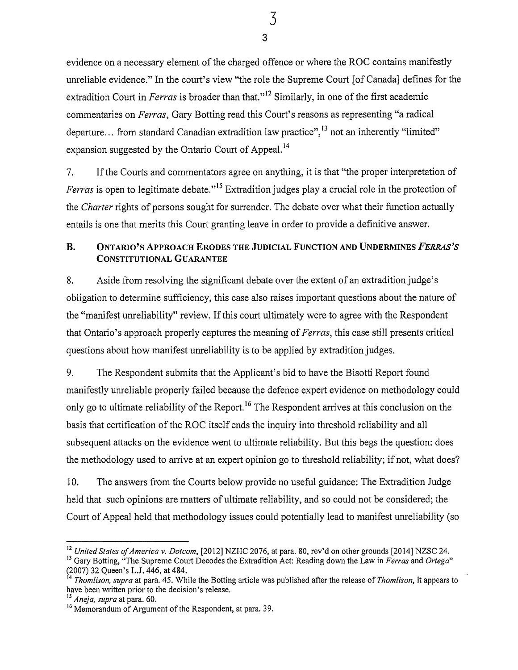evidence on a necessary element of the charged offence or where the ROC contains manifestly unreliable evidence." In the court's view "the role the Supreme Court [of Canada] defines for the extradition Court in *Ferras* is broader than that."<sup>12</sup> Similarly, in one of the first academic commentaries on *Ferras,* Gary Botting read this Court's reasons as representing "a radical departure... from standard Canadian extradition law practice",  $^{13}$  not an inherently "limited" expansion suggested by the Ontario Court of Appeal.<sup>14</sup>

7. If the Courts and commentators agree on anything, it is that "the proper interpretation of *Ferras* is open to legitimate debate."<sup>15</sup> Extradition judges play a crucial role in the protection of the *Charter* rights of persons sought for surrender. The debate over what their function actually entails is one that merits this Court granting leave in order to provide a definitive answer.

## B. ONTARIO'S APPROACH ERODES THE JUDICIAL FUNCTION AND UNDERMINES *PERRAS'S*  CONSTITUTIONAL GUARANTEE

8. Aside from resolving the significant debate over the extent of an extradition judge's obligation to determine sufficiency, this case also raises important questions about the nature of the "manifest unreliability" review. If this court ultimately were to agree with the Respondent that Ontario's approach properly captures the meaning of *Ferras,* this case still presents critical questions about how manifest unreliability is to be applied by extradition judges.

9. The Respondent submits that the Applicant's bid to have the Bisotti Report found manifestly unreliable properly failed because the defence expert evidence on methodology could only go to ultimate reliability of the Report.<sup>16</sup> The Respondent arrives at this conclusion on the basis that certification of the ROC itself ends the inquiry into threshold reliability and all subsequent attacks on the evidence went to ultimate reliability. But this begs the question: does the methodology used to arrive at an expert opinion go to threshold reliability; if not, what does?

10. The answers from the Courts below provide no useful guidance: The Extradition Judge held that such opinions are matters of ultimate reliability, and so could not be considered; the Court of Appeal held that methodology issues could potentially lead to manifest unreliability (so

3 3

<sup>&</sup>lt;sup>12</sup> United States of America v. Dotcom, [2012] NZHC 2076, at para. 80, rev'd on other grounds [2014] NZSC 24.<br><sup>13</sup> Gary Botting, "The Supreme Court Decodes the Extradition Act: Reading down the Law in *Ferras* and Ortega

<sup>(2007) 32</sup> Queen's L.J. 446, at 484.

<sup>14</sup>*Thomlison, supra* at para. 45. While the Botting article was published after the release of *Thom/ison,* it appears to have been written prior to the decision's release.

<sup>15</sup>*Aneja, supra* at para. 60.

<sup>&</sup>lt;sup>16</sup> Memorandum of Argument of the Respondent, at para. 39.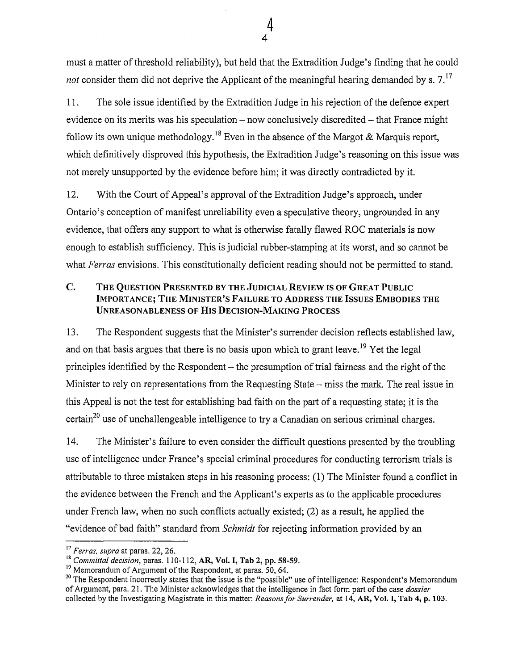must a matter of threshold reliability), but held that the Extradition Judge's finding that he could *not* consider them did not deprive the Applicant of the meaningful hearing demanded by s. 7.<sup>17</sup>

11. The sole issue identified by the Extradition Judge in his rejection of the defence expert evidence on its merits was his speculation  $-$  now conclusively discredited  $-$  that France might follow its own unique methodology.<sup>18</sup> Even in the absence of the Margot & Marquis report, which definitively disproved this hypothesis, the Extradition Judge's reasoning on this issue was not merely unsupported by the evidence before him; it was directly contradicted by it.

12. With the Court of Appeal's approval of the Extradition Judge's approach, under Ontario's conception of manifest unreliability even a speculative theory, ungrounded in any evidence, that offers any support to what is otherwise fatally flawed ROC materials is now enough to establish sufficiency. This is judicial rubber-stamping at its worst, and so cannot be what *Ferras* envisions. This constitutionally deficient reading should not be permitted to stand.

## C. THE QUESTION PRESENTED BY THE JUDICIAL REVIEW IS OF GREAT PUBLIC IMPORTANCE; THE MINISTER'S FAILURE TO ADDRESS THE ISSUES EMBODIES THE UNREASONABLENESS OF HIS DECISION-MAKING PROCESS

13. The Respondent suggests that the Minister's surrender decision reflects established law, and on that basis argues that there is no basis upon which to grant leave.<sup>19</sup> Yet the legal principles identified by the Respondent- the presumption of trial fairness and the right of the Minister to rely on representations from the Requesting State – miss the mark. The real issue in this Appeal is not the test for establishing bad faith on the part of a requesting state; it is the certain<sup>20</sup> use of unchallengeable intelligence to try a Canadian on serious criminal charges.

14. The Minister's failure to even consider the difficult questions presented by the troubling use of intelligence under France's special criminal procedures for conducting terrorism trials is attributable to three mistaken steps in his reasoning process: (1) The Minister found a conflict in the evidence between the French and the Applicant's experts as to the applicable procedures under French law, when no such conflicts actually existed; (2) as a result, he applied the "evidence of bad faith" standard from *Schmidt* for rejecting information provided by an

<sup>17</sup>*Fen·as, supra* at paras. 22, 26.

<sup>18&</sup>lt;br>
<sup>18</sup> Committal decision, paras. 110-112, AR, Vol. I, Tab 2, pp. 58-59.<br>
<sup>19</sup> Memorandum of Argument of the Respondent, at paras. 50, 64.

<sup>&</sup>lt;sup>20</sup> The Respondent incorrectly states that the issue is the "possible" use of intelligence: Respondent's Memorandum of Argument, para. 21. The Minister acknowledges that the intelligence in fact form part of the case *dossier*  collected by the Investigating Magistrate in this matter: *Reasons for Surrender,* at 14, AR, Vol. I, Tab 4, p. 103.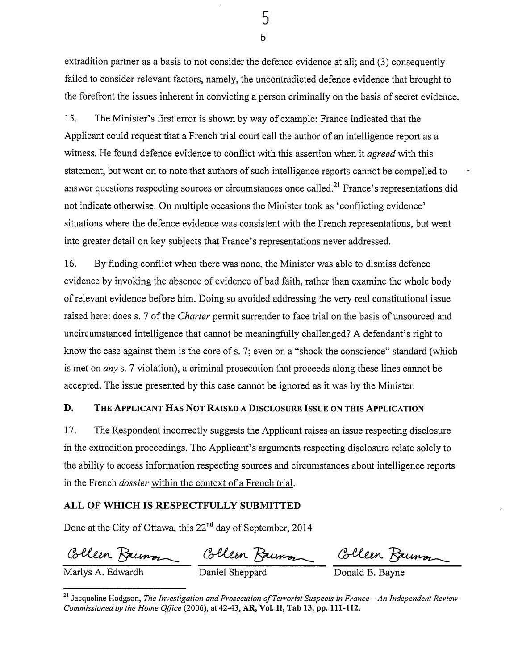5 5

extradition partner as a basis to not consider the defence evidence at all; and (3) consequently failed to consider relevant factors, namely, the uncontradicted defence evidence that brought to the forefront the issues inherent in convicting a person criminally on the basis of secret evidence.

15. The Minister's first error is shown by way of example: France indicated that the Applicant could request that a French trial court call the author of an intelligence report as a witness. He found defence evidence to conflict with this assertion when it *agreed* with this statement, but went on to note that authors of such intelligence reports cannot be compelled to <sup>~</sup> answer questions respecting sources or circumstances once called.<sup>21</sup> France's representations did not indicate otherwise. On multiple occasions the Minister took as 'conflicting evidence' situations where the defence evidence was consistent with the French representations, but went into greater detail on key subjects that France's representations never addressed.

16. By finding conflict when there was none, the Minister was able to dismiss defence evidence by invoking the absence of evidence of bad faith, rather than examine the whole body of relevant evidence before him. Doing so avoided addressing the very real constitutional issue raised here: does s. 7 of the *Charter* permit surrender to face trial on the basis of unsourced and uncircumstanced intelligence that cannot be meaningfully challenged? A defendant's right to know the case against them is the core of s. 7; even on a "shock the conscience" standard (which is met on *any* s. 7 violation), a criminal prosecution that proceeds along these lines cannot be accepted. The issue presented by this case cannot be ignored as it was by the Minister.

#### D. THE APPLICANT HAS NOT RAISED A DISCLOSURE ISSUE ON THIS APPLICATION

17. The Respondent incorrectly suggests the Applicant raises an issue respecting disclosure in the extradition proceedings. The Applicant's arguments respecting disclosure relate solely to the ability to access information respecting sources and circumstances about intelligence reports in the French *dossier* within the context of a French trial.

#### ALL OF WHICH IS RESPECTFULLY SUBMITTED

Done at the City of Ottawa, this 22<sup>nd</sup> day of September, 2014

Colleen Baumon Colleen Baumon Colleen Baumon

<sup>&</sup>lt;sup>21</sup> Jacqueline Hodgson, *The Investigation and Prosecution of Terrorist Suspects in France – An Independent Review Commissioned by the Home Office* (2006), at 42-43, AR, Vol. II, Tab 13, pp. 111-112.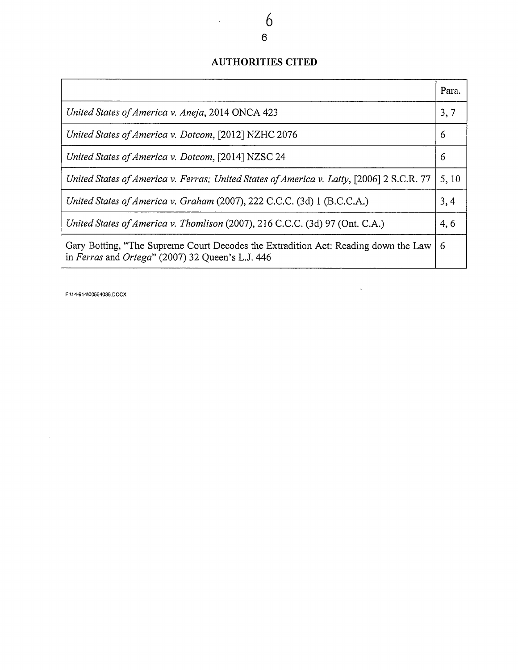## **AUTHORITIES CITED**

|                                                                                                                                        | Para. |
|----------------------------------------------------------------------------------------------------------------------------------------|-------|
| United States of America v. Aneja, 2014 ONCA 423                                                                                       |       |
| United States of America v. Dotcom, [2012] NZHC 2076                                                                                   | 6     |
| United States of America v. Dotcom, [2014] NZSC 24                                                                                     | 6     |
| United States of America v. Ferras; United States of America v. Latty, [2006] 2 S.C.R. 77                                              | 5,10  |
| United States of America v. Graham (2007), 222 C.C.C. (3d) 1 (B.C.C.A.)                                                                | 3, 4  |
| United States of America v. Thomlison (2007), 216 C.C.C. (3d) 97 (Ont. C.A.)                                                           | 4,6   |
| Gary Botting, "The Supreme Court Decodes the Extradition Act: Reading down the Law<br>in Ferras and Ortega" (2007) 32 Queen's L.J. 446 |       |

 $\sim 10^{-10}$ 

F:I14-914\00664036.DOCX